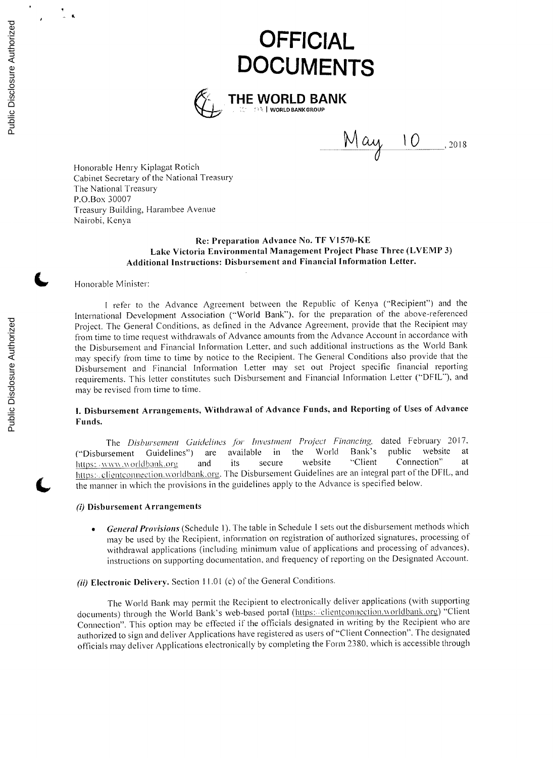# **OFFICIAL DOCUMENTS**



 $\frac{M\alpha y}{D}$ , 2018

Honorable Henry Kiplagat Rotich Cabinet Secretary of the National Treasury The National Treasury P.O.Box **30007** Treasury Building, Harambee Avenue Nairobi, Kenya

# **Re: Preparation Advance** No. **TF Vl570-KE Lake Victoria Environmental Management Project Phase Three (LVEMP 3) Additional Instructions: Disbursement and Financial Information Letter.**

#### **(** -Honorable Minister:

**I** refer to the Advance Agreement between the Republic of Kenya ("Recipient") and the International Development Association ("World Bank"), for the preparation of the above-referenced Project. The General Conditions, as defined in the Advance Agreement, provide that the Recipient may from time to time request withdrawals of Advance amounts from the Advance Account in accordance with the Disbursement and Financial Information Letter, and such additional instructions as the World Bank may specify from time to time **by** notice to the Recipient. The General Conditions also provide that the Disbursement and Financial Information Letter may set out Project specific financial reporting requirements. This letter **constitutes** such Disbursement and Financial Information Letter ("DFIL-), and may be revised from time to time.

# **I. Disbursement Arrangements, Withdrawal of Advance Funds, and Reporting** of Uses of **Advance Funds.**

*The* Disbursement *Guidelines for Investment Project Financing,* dated February **2017.** ("Disbursement Guidelines") are available in the World Bank's public website at the https://www.worldbank.org and its secure website "Client Connection" at https: www.worldbank.org and its secure website "Client Connection" at https://clientconnection.worldbank.org. The Disbursement Guidelines are an integral part of the DFIL, and the manner in which the provisions in the guidelines apply to the Advance is specified below.

# (i) **Disbursement Arrangements**

- **\* General Provisions** (Schedule **1).** The table in Schedule **I** sets out the disbursement methods which may be used **by** the Recipient, information on registration of authorized signatures, processing of withdrawal applications (including minimum value of applications and processing of advances), instructions on supporting documentation, and frequency of reporting on the Designated Account.
- (i) **Electronic Delivery.** Section I **1.01** (c) of the General Conditions.

The World Bank may permit the Recipient to electronically deliver applications (with supporting documents) through the World Bank's web-based portal (https: clientconnection worldbank.org) "Client Connection". This option may be effected if the officials designated in writing **by** the Recipient who are authorized to sign and deliver Applications have registered as users of "Client Connection". The designated officials may deliver Applications electronically **by** completing the Form **2380,** which is accessible through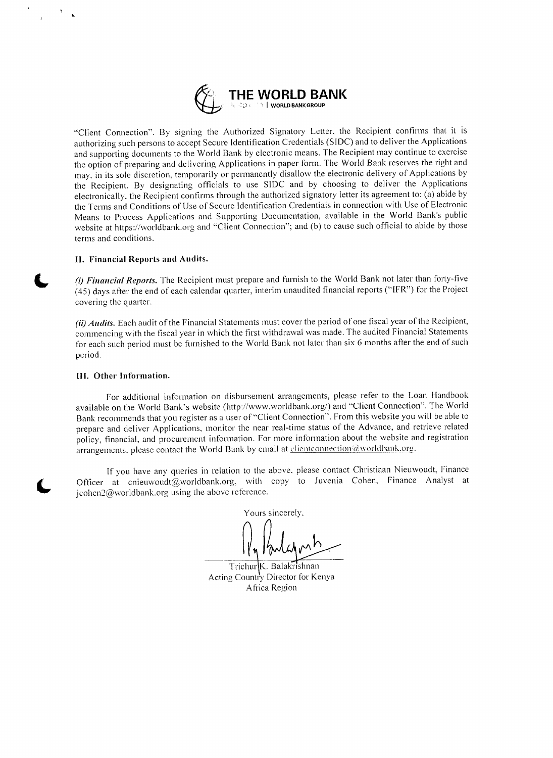

"Client Connection". **By** signing the Authorized Signatory Letter, the Recipient confirms that it is authorizing such persons to accept Secure Identification Credentials **(SIDC)** and to deliver the Applications and supporting documents to the World Bank **by** electronic means. The Recipient may continue to exercise the option of preparing and delivering Applications in paper form. The World Bank reserves the right and may. in its sole discretion, temporarily or permanently disallow the electronic delivery of Applications by the Recipient. **By** designating officials to use **SIDC** and **by** choosing to deliver the Applications electronically, the Recipient confirms through the authorized signatory letter its agreement to: (a) abide **by** the Terms and Conditions **of** Use **of** Secure Identification Credentials in connection with Use of Electronic Means to Process Applications and Supporting Documentation, available in the World Bank's public website at https://worldbank.org and "Client Connection"; and **(b)** to cause **such** official to abide **by** those terms and conditions.

## **II. Financial Reports and Audits.**

*(i) Financial Reports.* The Recipient must prepare and furnish to the World Bank not later than forty-five (45) days after the end of each calendar quarter, interim unaudited financial reports ("IFR") for the Project covering the quarter.

*(ii) Audits.* Each audit of the Financial Statements must cover the period of one fiscal year of the Recipient, commencing with the fiscal year in which the first withdrawal was made. The audited Financial Statements for each **such** period must be furnished to the World Bank not later than six **6** months after the end **of such** period.

#### **III. Other Information.**

For additional information on disbursement arrangements, please refer to the Loan Handbook available on the World Bank's website (http://www.worldbank.org/) and "Client Connection". The World Bank recommends that you register as a user of "Client Connection". From this website you **will** be able to prepare and deliver Applications, monitor the near real-time status of the Advance, and retrieve related policy, financial, and procurement information. For more information about the website and registration arrangements, please contact the World Bank by email at  $d$ clientconnection  $d$  worldbank.org.

**If** you have any queries in relation to the above. please contact Christiaan Nieuwoudt, Finance Officer at cnieuwoodt@worldbank.org, with **copy** to Juvenia Cohen, Finance Analyst at jcohen $2@$ worldbank.org using the above reference.

Yours sincerely.

Trichur K. Balakrishnan Acting Country Director for Kenya A frica Region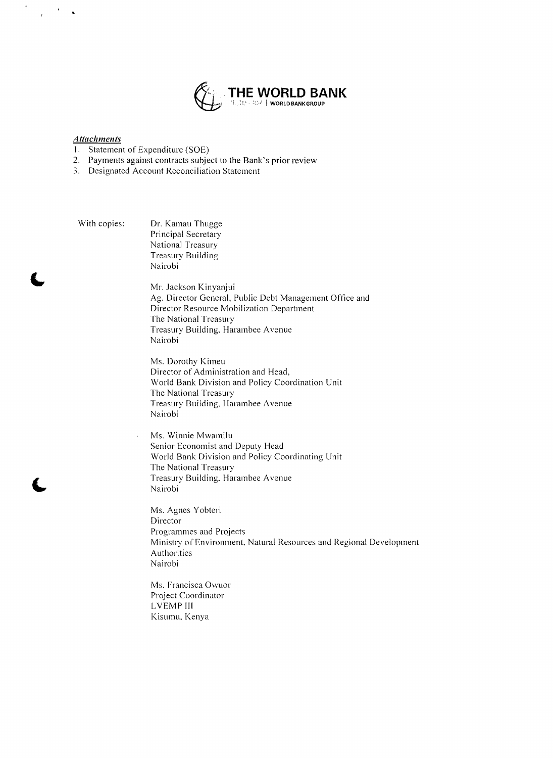

# **Attachments**

 $\overline{1}$ 

- **1.** Statement of Expenditure **(SOE)**
- 2. Payments against contracts subject to the Bank's prior review
- **3.** Designated Account Reconciliation Statement

With copies: Dr. Kamau Thugge Principal Secretary National Treasury Treasury Building Nairobi

 $\bar{z}$ 

**(L** Mr. Jackson Kinyanjui **Ag.** Director General, Public Debt Management Office and Director Resource Mobilization Department The National Treasury Treasury Building, Harambee Avenue Nairobi

Ms. Dorothy Kimeu Director of Administration and Head, World Bank Division and Policy Coordination Unit The National Treasury Treasury Building, Harambee Avenue Nairobi

Ms. Winnie Mwamilu Senior Economist and Deputy Head World Bank Division and Policy Coordinating Unit The National Treasury Treasury Building, Harambee Avenue Nairobi

Ms. Agnes Yobteri Director Programmes and Projects Ministry of Environment. Natural Resources and Regional Development Authorities Nairobi

Ms. Francisca Owuor Project Coordinator LVEMP **III** Kisunm, Kenya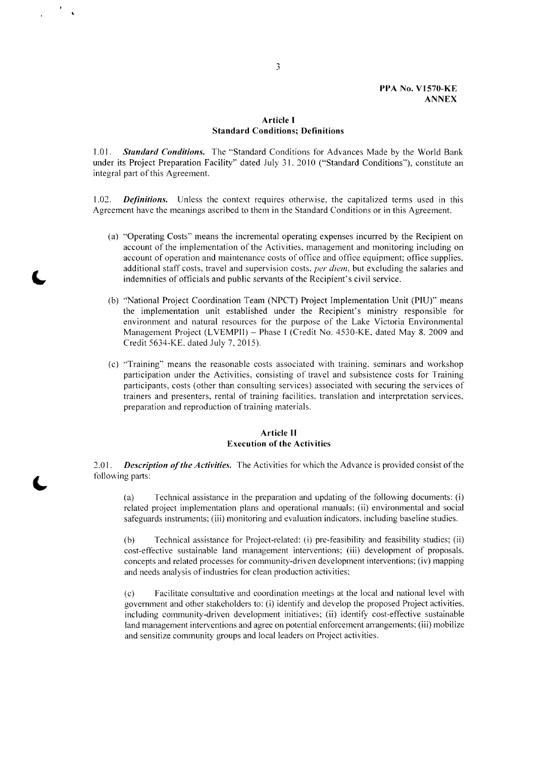#### **PPA No. Vl570-KE ANNEX**

# **Article I Standard Conditions; Definitions**

**1.01.** *Standard Conditions.* The "Standard Conditions for Advances Made **by** the World Bank under its Project Preparation Facility" dated July *3* **1, 2010** ("Standard Conditions"), constitute an integral part of this Agreement.

1.02. **Definitions.** Unless the context requires otherwise, the capitalized terms used in this Agreement have the meanings ascribed to them in the Standard Conditions or in this Agreement.

- (a) "Operating Costs" means the incremental operating expenses incurred **by** the Recipient on account of the implementation of the Activities, management and monitoring including on account of operation and maintenance costs of office and office equipment; office supplies, additional staff costs, travel and supervision costs, *per diem,* but excluding the salaries and indemnities of officials and public servants of the Recipient's civil service.
- **(b)** "National Project Coordination Team **(NPCT)** Project Implementation Unit **(PIU)"** means the implementation unit established under the Recipient's ministry responsible for environment and natural resources for the purpose of the Lake Victoria Environmental Management Project (LVEMPII) **-** Phase **I** (Credit No. 4530-KE. dated May **8. 2009** and Credit 5634-KE, dated July **7, 2015).**
- (c) "Training" means the reasonable costs associated with training, seminars and workshop participation under the Activities, consisting of travel and subsistence costs for Training participants, costs (other than consulting services) associated with securing the services of trainers and presenters, rental of training facilities, translation and interpretation services, preparation and reproduction of training materials.

## **Article II Execution of the Activities**

2.01. *Description of the Activities.* The Activities for which the Advance is provided consist of the following parts:

(a) Technical assistance in the preparation and updating of the following documents: (i) related project implementation plans and operational manuals: (ii) environmental and social safeguards instruments; (iii) monitoring and evaluation indicators. including baseline studies.

**(b)** Technical assistance for Project-related: (i) pre-feasibility and feasibility studies; (ii) cost-effective sustainable land management interventions; (iii) development of proposals, concepts and related processes for community-driven development interventions; (iv) mapping and needs analysis of industries for clean production activities:

**(c)** Facilitate consultative and coordination meetings at the local and national level with government and other stakeholders to: (i) identify and develop the proposed Project activities, including community-driven development initiatives; (ii) identify cost-effective sustainable land management interventions and agree on potential enforcement arrangements; (iii) mobilize and sensitize community groups and local leaders on Project activities.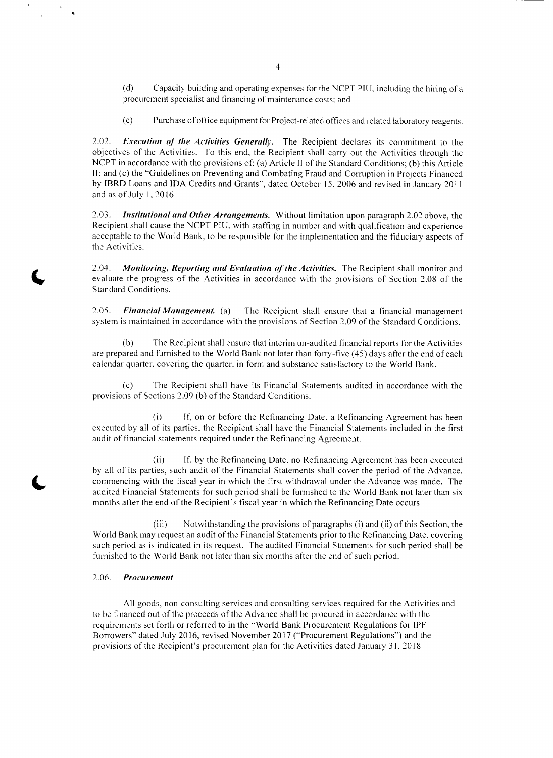**(d)** Capacity building and operating expenses for the **NCPT PIU,** including the hiring of a procurement specialist and financing of maintenance costs: and

(e) Purchase of office equipment for Project-related offices and related laboratory reagents.

2.02. *Execution of the Activities Generally.* The Recipient declares its commitment to the objectives of the Activities. To this end, the Recipient shall carry out the Activities through the **NCPT** in accordance with the provisions of: (a) Article **11** of the Standard Conditions; **(b)** this Article **<sup>11</sup>**and (c) the "Guidelines on Preventing and Combating Fraud and Corruption in Projects Financed **by** IBRD Loans and **IDA** Credits and Grants", dated October **15. 2006** and revised in January 2011 and as of July **1, 2016.**

*2.03. Institutional and Other Arrangements.* Without limitation upon paragraph 2.02 above, the Recipient shall cause the **NCPT PIU,** with staffing in number and with qualification and experience acceptable to the World Bank, to be responsible for the implementation and the fiduciary aspects of the Activities.

2.04. *Monitoring, Reporting and Evaluation of the Activities.* The Recipient shall monitor and **(W** evaluate the progress of the Activities in accordance with the provisions of Section **2.08** of the Standard Conditions.

**2.05.** *Financial Management. (a)* The Recipient shall ensure that a financial management system is maintained in accordance with the provisions of Section **2.09** of the Standard Conditions.

**(b)** The Recipient shall ensure that interim un-audited financial reports for the Activities are prepared and furnished to the World Bank not later than forty-five (45) days after the end of each calendar quarter, covering the quarter, in form and substance satisfactory to the World Bank.

**(c)** The Recipient shall have its Financial Statements audited in accordance with the provisions of Sections **2.09 (b)** of the Standard Conditions.

(i) **If,** on or before the Refinancing Date, a Refinancing Agreement has been executed **by** all of its parties, the Recipient shall have the Financial Statements included in the first audit of financial statements required under the Refinancing Agreement.

(ii) **If, by** the Refinancing Date. no Refinancing Agreement has been executed **by** all of its parties, such audit of the Financial Statements shall cover the period of the Advance, commencing with the fiscal year in which the first withdrawal under the Advance was made. The audited Financial Statements for such period shall be furnished to the World Bank not later than six months after the end of the Recipient's fiscal year in which the Refinancing Date occurs.

(iii) Notwithstanding the provisions of paragraphs (i) and (ii) of this Section, the World Bank may request an audit of the Financial Statements prior to the Refinancing Date, covering such period as is indicated in its request. The audited Financial Statements for such period shall be furnished to the World Bank not later than six months after the end of such period.

#### **2.06.** *Procurement*

**All** goods. non-consulting services and consulting services required for the Activities and to be financed out of the proceeds of the Advance shall be procured in accordance with the requirements set forth or referred to in the "World Bank Procurement Regulations for IPF Borrowers" dated July **2016,** revised November **2017** ("Procurement Regulations") and the provisions of the Recipient's procurement plan for the Activities dated January **31.** 2018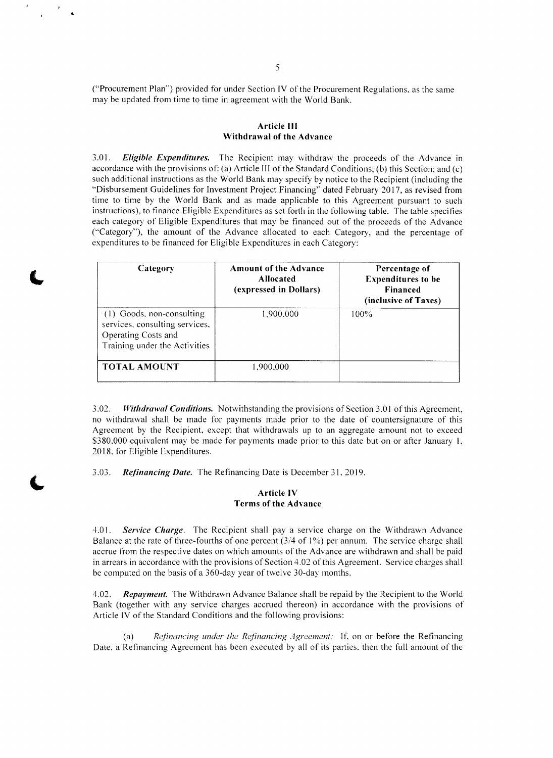("Procurement Plan") provided for under Section IV of the Procurement Regulations, as the same may be updated from time to time in agreement with the World Bank.

# **Article III Withdrawal of the Advance**

*3.01. Eligible Expenditures.* The Recipient may withdraw the proceeds of the Advance in accordance with the provisions of: (a) Article **Ill** of the Standard Conditions; **(b)** this Section; and (c) such additional instructions as the World Bank may specify **by** notice to the Recipient (including the "Disbursement Guidelines for Investment Project Financing" dated February **2017,** as revised from time to time **by** the World Bank and as made applicable to this Agreement pursuant to such instructions), to finance Eligible Expenditures as set forth in the following table. The table specifies each category of Eligible Expenditures that may be financed out of the proceeds of the Advance ("Category"), the amount of the Advance allocated to each Category, and the percentage of expenditures to be financed for Eligible Expenditures in each Category:

| Category                                                                                                            | <b>Amount of the Advance</b><br><b>Allocated</b><br>(expressed in Dollars) | Percentage of<br><b>Expenditures to be</b><br><b>Financed</b><br>(inclusive of Taxes) |
|---------------------------------------------------------------------------------------------------------------------|----------------------------------------------------------------------------|---------------------------------------------------------------------------------------|
| (1) Goods, non-consulting<br>services, consulting services,<br>Operating Costs and<br>Training under the Activities | 1.900.000                                                                  | $100\%$                                                                               |
| <b>TOTAL AMOUNT</b>                                                                                                 | 1,900,000                                                                  |                                                                                       |

**3.02.** *Withdrawal* **Conditions.** Notwithstanding the provisions of Section **3.01** of this Agreement, no withdrawal shall be made for payments made prior to the date of countersignature of this Agreement **by** the Recipient, except that withdrawals up to an aggregate amount not to exceed **\$380,000** equivalent may be made for payments made prior to this date but on or after January **1, 2018.** for Eligible Expenditures.

**3.03.** *Refinancing Date.* The Refinancing Date is December *31,* **2019.**

## **Article IV Terms of the Advance**

4.01. *Service* **Charge.** The Recipient shall pay a service charge on the Withdrawn Advance Balance at the rate of three-fourths of one percent (3/4 of **1%)** per annum. The service charge shall accrue from the respective dates on which amounts of the Advance are withdrawn and shall be paid in arrears in accordance with the provisions of Section 4.02 of this Agreement. Service charges shall **be** computed on the basis of a 360-day year of twelve 30-day months.

4.02. *Repay'ment.* The Withdrawn Advance Balance shall be repaid **by** the Recipient to the World Bank (together with any service charges accrued thereon) in accordance with the provisions of Article IV of the Standard Conditions and the following provisions:

(a) *Refinancing under the Refinancing* Agreement: **If.** on or before the Refinancing Date. a Refinancing Agreement has been executed **by** all of its parties. then the full amount of the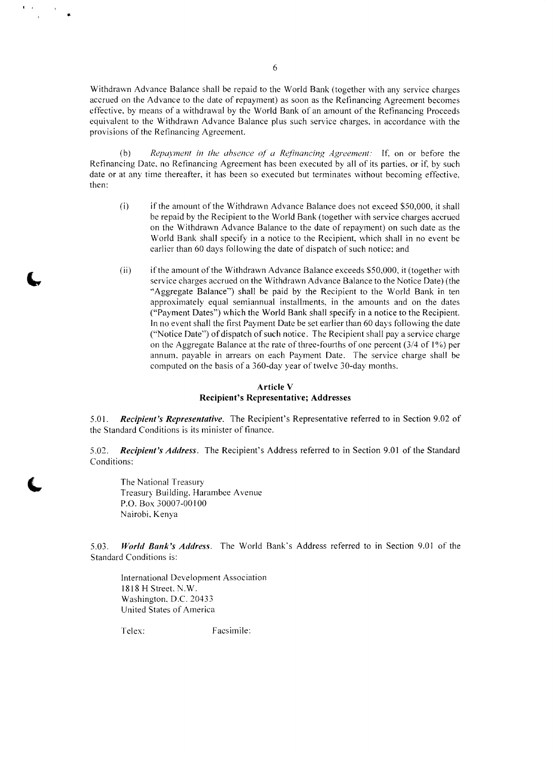Withdrawn Advance Balance shall be repaid to the World Bank (together with any service charges accrued on the Advance to the date of repayment) as soon as the Refinancing Agreement becomes effective, by means of a withdraw equivalent to the Withdrawn Advance Balance plus such service charges, in accordance with the provisions of the Refinancing Agreement.

(b) Repayment in the absence of a Refinancing Agreement: If, on or before the Refinancing Date, no Refinancing Agreement has been executed by all of its parties, or if, by such date or at any time thereafter, it has been

- (i) if the amount of the Withdrawn Advance Balance does not exceed **\$50,000,** it shall be repaid **by** the Recipient to the World Bank (together with service charges accrued on the Withdrawn Advance Balance to the date of repayment) on such date as the World Bank shall specify in a notice to the Recipient, which shall in no event be earlier than **60** days following the date of dispatch of such notice: and
- (ii) if the amount of the Withdrawn Advance Balance exceeds **\$50,000,** it (together with "Aggregate Balance") shall be paid by the Recipient to the World Bank in ten approximately equal semiannual installments, in the amounts and on the dates ("Payment Dates") which the World Bank shall specify in a notice to the Recipient. In no event shall the first Payment Date be set earlier than 60 days following the date ("Notice Date") of dispatch of such notice. The Recipient shall pay a service charge on the Aggregate Balance at the rate of three-fourths of one percent (3/4 of **1%)** per annum, payable in arrears on each Payment Date. The service charge shall be computed on the basis of a 360-day year of twelve 30-day months.

# **Article V Recipient's Representative; Addresses**

*5.01. Recipient's Representative.* The Recipient's Representative referred to in Section **9.02 of** the Standard Conditions is its minister of finance.

**5.02.** *Recipient's Address.* The Recipient's Address referred to in Section **9.01** of the Standard Conditions:

The National Treasury Treasury Building, Harambee Avenue P.O. Box **30007-00100** Nairobi, Kenya

**5.03. World Bank's Address.** The World Bank's Address referred to in Section **9.01** of the Standard Conditions is:

International Development Association **1818** H Street. N.W. Washington, **D.C.** 20433 United States of America

Telex: Facsimile: